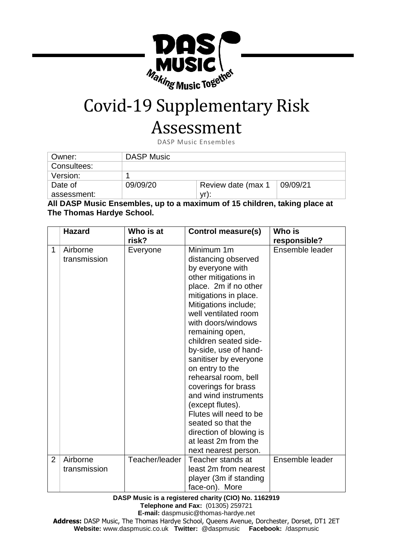

## Covid-19 Supplementary Risk

## Assessment

DASP Music Ensembles

| Owner:      | <b>DASP Music</b> |                    |          |
|-------------|-------------------|--------------------|----------|
| Consultees: |                   |                    |          |
| Version:    |                   |                    |          |
| Date of     | 09/09/20          | Review date (max 1 | 09/09/21 |
| assessment: |                   | vr):               |          |

**All DASP Music Ensembles, up to a maximum of 15 children, taking place at The Thomas Hardye School.**

|                | <b>Hazard</b>            | Who is at<br>risk? | <b>Control measure(s)</b>                                                                                                                                                                                                                                                                                                                                                                                                                                                                                                                    | Who is<br>responsible? |
|----------------|--------------------------|--------------------|----------------------------------------------------------------------------------------------------------------------------------------------------------------------------------------------------------------------------------------------------------------------------------------------------------------------------------------------------------------------------------------------------------------------------------------------------------------------------------------------------------------------------------------------|------------------------|
| $\mathbf{1}$   | Airborne<br>transmission | Everyone           | Minimum 1m<br>distancing observed<br>by everyone with<br>other mitigations in<br>place. 2m if no other<br>mitigations in place.<br>Mitigations include;<br>well ventilated room<br>with doors/windows<br>remaining open,<br>children seated side-<br>by-side, use of hand-<br>sanitiser by everyone<br>on entry to the<br>rehearsal room, bell<br>coverings for brass<br>and wind instruments<br>(except flutes).<br>Flutes will need to be<br>seated so that the<br>direction of blowing is<br>at least 2m from the<br>next nearest person. | Ensemble leader        |
| $\overline{2}$ | Airborne<br>transmission | Teacher/leader     | Teacher stands at<br>least 2m from nearest<br>player (3m if standing<br>face-on). More                                                                                                                                                                                                                                                                                                                                                                                                                                                       | Ensemble leader        |

**DASP Music is a registered charity (CIO) No. 1162919 Telephone and Fax:** (01305) 259721 **E-mail:** daspmusic@thomas-hardye.net

**Address:** DASP Music, The Thomas Hardye School, Queens Avenue, Dorchester, Dorset, DT1 2ET **Website:** [www.daspmusic.co.uk](http://www.daspmusic.co.uk/) **Twitter:** @daspmusic **Facebook:** /daspmusic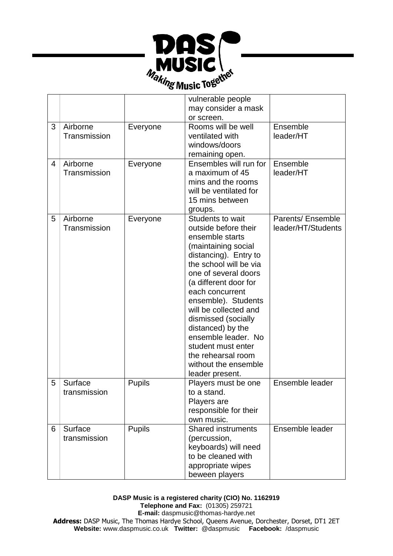

|   |                          |               | vulnerable people<br>may consider a mask                                                                                                                                                                                                                                                                                                                                                                            |                                         |
|---|--------------------------|---------------|---------------------------------------------------------------------------------------------------------------------------------------------------------------------------------------------------------------------------------------------------------------------------------------------------------------------------------------------------------------------------------------------------------------------|-----------------------------------------|
|   |                          |               | or screen.                                                                                                                                                                                                                                                                                                                                                                                                          |                                         |
| 3 | Airborne<br>Transmission | Everyone      | Rooms will be well<br>ventilated with<br>windows/doors<br>remaining open.                                                                                                                                                                                                                                                                                                                                           | Ensemble<br>leader/HT                   |
| 4 | Airborne<br>Transmission | Everyone      | Ensembles will run for<br>a maximum of 45<br>mins and the rooms<br>will be ventilated for<br>15 mins between<br>groups.                                                                                                                                                                                                                                                                                             | Ensemble<br>leader/HT                   |
| 5 | Airborne<br>Transmission | Everyone      | Students to wait<br>outside before their<br>ensemble starts<br>(maintaining social<br>distancing). Entry to<br>the school will be via<br>one of several doors<br>(a different door for<br>each concurrent<br>ensemble). Students<br>will be collected and<br>dismissed (socially<br>distanced) by the<br>ensemble leader. No<br>student must enter<br>the rehearsal room<br>without the ensemble<br>leader present. | Parents/ Ensemble<br>leader/HT/Students |
| 5 | Surface<br>transmission  | <b>Pupils</b> | Players must be one<br>to a stand.<br>Players are<br>responsible for their<br>own music.                                                                                                                                                                                                                                                                                                                            | Ensemble leader                         |
| 6 | Surface<br>transmission  | <b>Pupils</b> | <b>Shared instruments</b><br>(percussion,<br>keyboards) will need<br>to be cleaned with<br>appropriate wipes<br>beween players                                                                                                                                                                                                                                                                                      | Ensemble leader                         |

**DASP Music is a registered charity (CIO) No. 1162919 Telephone and Fax:** (01305) 259721 **E-mail:** daspmusic@thomas-hardye.net **Address:** DASP Music, The Thomas Hardye School, Queens Avenue, Dorchester, Dorset, DT1 2ET **Website:** [www.daspmusic.co.uk](http://www.daspmusic.co.uk/) **Twitter:** @daspmusic **Facebook:** /daspmusic